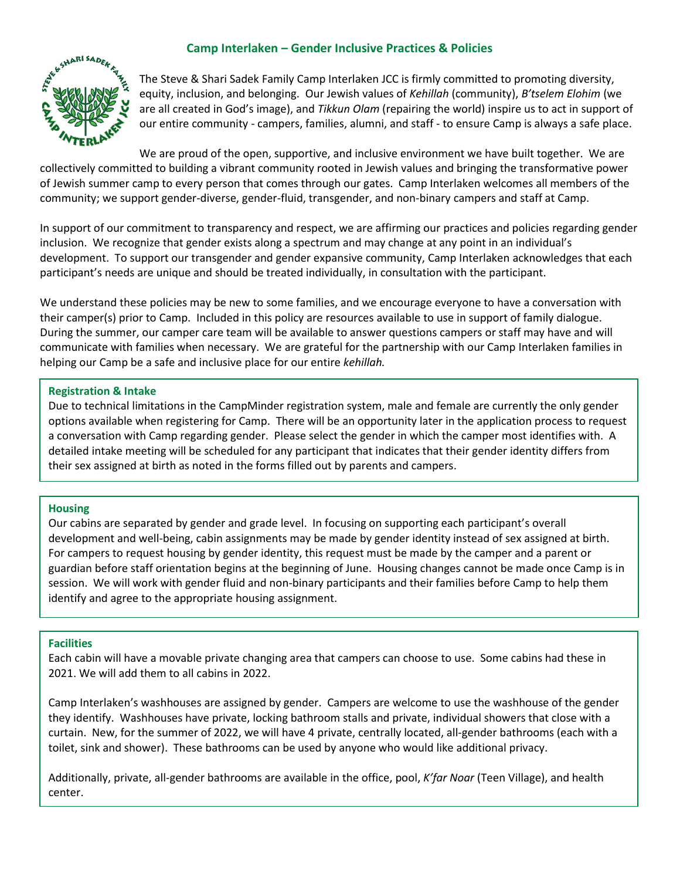# **Camp Interlaken – Gender Inclusive Practices & Policies**



The Steve & Shari Sadek Family Camp Interlaken JCC is firmly committed to promoting diversity, equity, inclusion, and belonging. Our Jewish values of *Kehillah* (community), *B'tselem Elohim* (we are all created in God's image), and *Tikkun Olam* (repairing the world) inspire us to act in support of our entire community - campers, families, alumni, and staff - to ensure Camp is always a safe place.

We are proud of the open, supportive, and inclusive environment we have built together. We are collectively committed to building a vibrant community rooted in Jewish values and bringing the transformative power of Jewish summer camp to every person that comes through our gates. Camp Interlaken welcomes all members of the community; we support gender-diverse, gender-fluid, transgender, and non-binary campers and staff at Camp.

In support of our commitment to transparency and respect, we are affirming our practices and policies regarding gender inclusion. We recognize that gender exists along a spectrum and may change at any point in an individual's development. To support our transgender and gender expansive community, Camp Interlaken acknowledges that each participant's needs are unique and should be treated individually, in consultation with the participant.

We understand these policies may be new to some families, and we encourage everyone to have a conversation with their camper(s) prior to Camp. Included in this policy are resources available to use in support of family dialogue. During the summer, our camper care team will be available to answer questions campers or staff may have and will communicate with families when necessary. We are grateful for the partnership with our Camp Interlaken families in helping our Camp be a safe and inclusive place for our entire *kehillah.* 

### **Registration & Intake**

Due to technical limitations in the CampMinder registration system, male and female are currently the only gender options available when registering for Camp. There will be an opportunity later in the application process to request a conversation with Camp regarding gender. Please select the gender in which the camper most identifies with. A detailed intake meeting will be scheduled for any participant that indicates that their gender identity differs from their sex assigned at birth as noted in the forms filled out by parents and campers.

# **Housing**

Our cabins are separated by gender and grade level. In focusing on supporting each participant's overall development and well-being, cabin assignments may be made by gender identity instead of sex assigned at birth. For campers to request housing by gender identity, this request must be made by the camper and a parent or guardian before staff orientation begins at the beginning of June. Housing changes cannot be made once Camp is in session. We will work with gender fluid and non-binary participants and their families before Camp to help them identify and agree to the appropriate housing assignment.

# **Facilities**

Each cabin will have a movable private changing area that campers can choose to use. Some cabins had these in 2021. We will add them to all cabins in 2022.

Camp Interlaken's washhouses are assigned by gender. Campers are welcome to use the washhouse of the gender they identify. Washhouses have private, locking bathroom stalls and private, individual showers that close with a curtain. New, for the summer of 2022, we will have 4 private, centrally located, all-gender bathrooms (each with a toilet, sink and shower). These bathrooms can be used by anyone who would like additional privacy.

Additionally, private, all-gender bathrooms are available in the office, pool, *K'far Noar* (Teen Village), and health center.